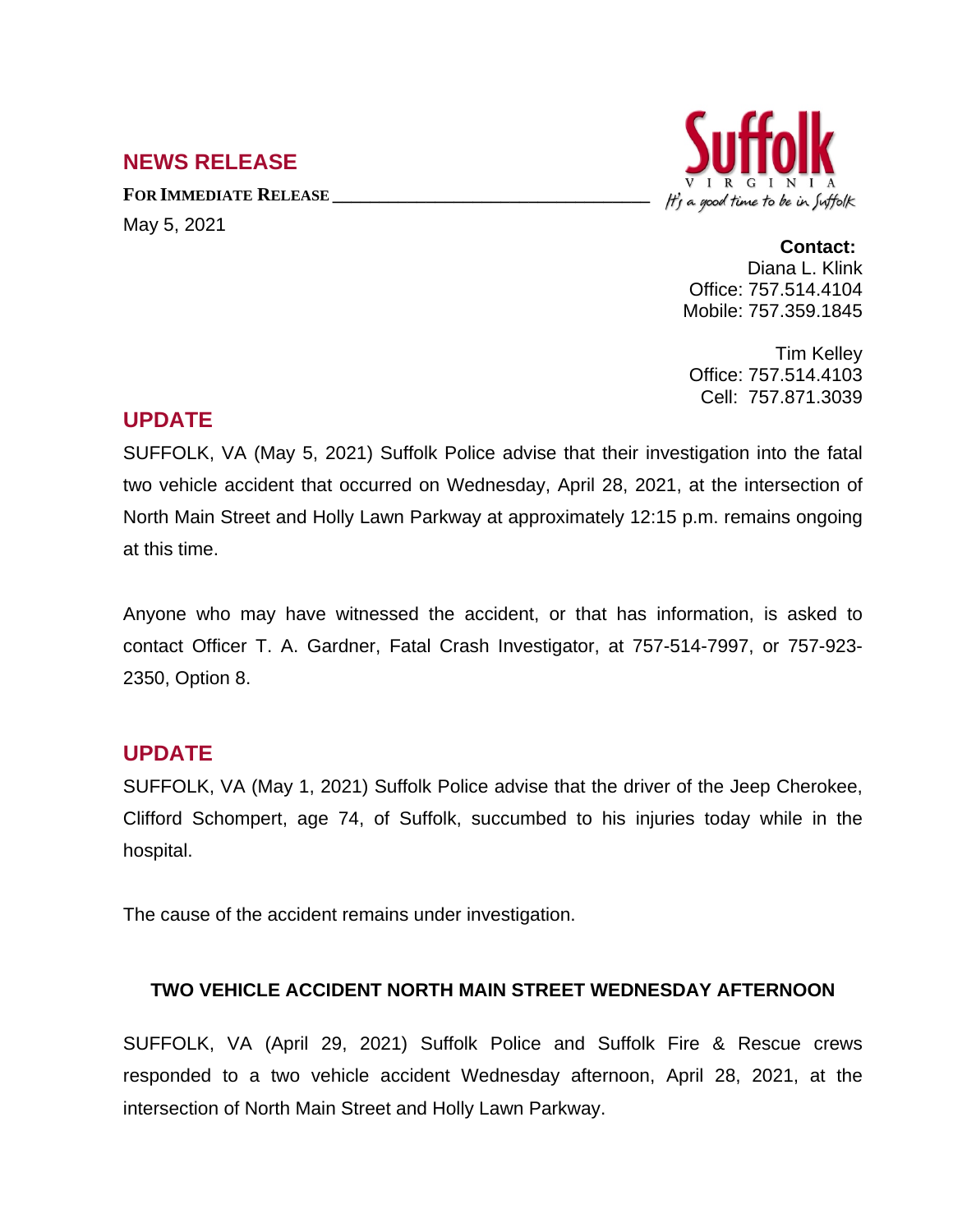# **NEWS RELEASE**

**FOR IMMEDIATE RELEASE \_\_\_\_\_\_\_\_\_\_\_\_\_\_\_\_\_\_\_\_\_\_\_\_\_\_\_\_\_\_\_\_\_\_** May 5, 2021



## **Contact:**

Diana L. Klink Office: 757.514.4104 Mobile: 757.359.1845

Tim Kelley Office: 757.514.4103 Cell: 757.871.3039

# **UPDATE**

SUFFOLK, VA (May 5, 2021) Suffolk Police advise that their investigation into the fatal two vehicle accident that occurred on Wednesday, April 28, 2021, at the intersection of North Main Street and Holly Lawn Parkway at approximately 12:15 p.m. remains ongoing at this time.

Anyone who may have witnessed the accident, or that has information, is asked to contact Officer T. A. Gardner, Fatal Crash Investigator, at 757-514-7997, or 757-923- 2350, Option 8.

## **UPDATE**

SUFFOLK, VA (May 1, 2021) Suffolk Police advise that the driver of the Jeep Cherokee, Clifford Schompert, age 74, of Suffolk, succumbed to his injuries today while in the hospital.

The cause of the accident remains under investigation.

#### **TWO VEHICLE ACCIDENT NORTH MAIN STREET WEDNESDAY AFTERNOON**

SUFFOLK, VA (April 29, 2021) Suffolk Police and Suffolk Fire & Rescue crews responded to a two vehicle accident Wednesday afternoon, April 28, 2021, at the intersection of North Main Street and Holly Lawn Parkway.